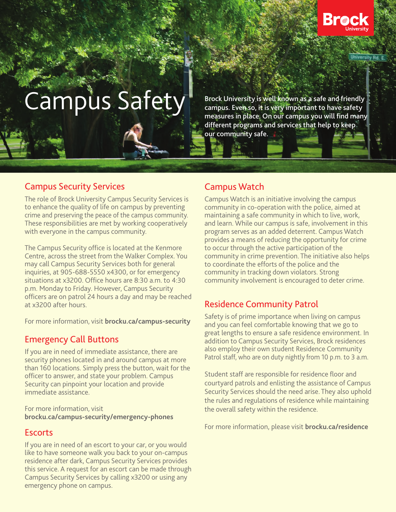

# Campus Safety

**Brock University is well known as a safe and friendly campus. Even so, it is very important to have safety measures in place. On our campus you will find many different programs and services that help to keep our community safe.** 

## Campus Security Services

The role of Brock University Campus Security Services is to enhance the quality of life on campus by preventing crime and preserving the peace of the campus community. These responsibilities are met by working cooperatively with everyone in the campus community.

The Campus Security office is located at the Kenmore Centre, across the street from the Walker Complex. You may call Campus Security Services both for general inquiries, at 905-688-5550 x4300, or for emergency situations at x3200. Office hours are 8:30 a.m. to 4:30 p.m. Monday to Friday. However, Campus Security officers are on patrol 24 hours a day and may be reached at x3200 after hours.

For more information, visit **brocku.ca/campus-security**

#### Emergency Call Buttons

If you are in need of immediate assistance, there are security phones located in and around campus at more than 160 locations. Simply press the button, wait for the officer to answer, and state your problem. Campus Security can pinpoint your location and provide immediate assistance.

For more information, visit **brocku.ca/campus-security/emergency-phones**

#### **Escorts**

If you are in need of an escort to your car, or you would like to have someone walk you back to your on-campus residence after dark, Campus Security Services provides this service. A request for an escort can be made through Campus Security Services by calling x3200 or using any emergency phone on campus.

# Campus Watch

Campus Watch is an initiative involving the campus community in co-operation with the police, aimed at maintaining a safe community in which to live, work, and learn. While our campus is safe, involvement in this program serves as an added deterrent. Campus Watch provides a means of reducing the opportunity for crime to occur through the active participation of the community in crime prevention. The initiative also helps to coordinate the efforts of the police and the community in tracking down violators. Strong community involvement is encouraged to deter crime.

# Residence Community Patrol

Safety is of prime importance when living on campus and you can feel comfortable knowing that we go to great lengths to ensure a safe residence environment. In addition to Campus Security Services, Brock residences also employ their own student Residence Community Patrol staff, who are on duty nightly from 10 p.m. to 3 a.m.

Student staff are responsible for residence floor and courtyard patrols and enlisting the assistance of Campus Security Services should the need arise. They also uphold the rules and regulations of residence while maintaining the overall safety within the residence.

For more information, please visit **brocku.ca/residence**